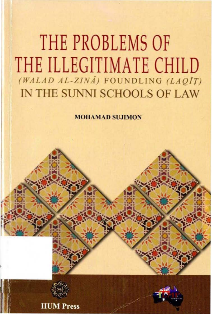# **THE PROBLEMS OF THE ILLEGITIMATE CHILD**  $(WALAD AL-ZIN\overline{A})$  FOUNDLING (LAQIT) IN THE SUNNI SCHOOLS OF LAW

MOHAMAD SUJIMON



**Press**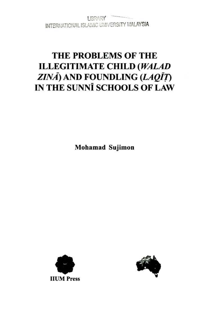LIBRARY INTERNATIONAL ISLAMIC UNIVERSITY MALAYSIA

## THE PROBLEMS OF THE **ILLEGITIMATE CHILD (WALAD** ZINĀ) AND FOUNDLING (LAQĪȚ) IN THE SUNNI SCHOOLS OF LAW

**Mohamad Sujimon** 



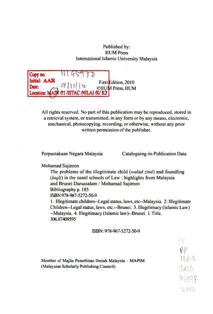#### Published by: IlUM Press International Islamic University Malaysia

Copy no: Initial.: AAR **Date:**  $\theta$  and  $d$  and  $\theta$  first  $\theta$  and  $\theta$  and  $\theta$  and  $\theta$  and  $\theta$  and  $\theta$  and  $\theta$  and  $\theta$  and  $\theta$  and  $\theta$  and  $\theta$  and  $\theta$  and  $\theta$  and  $\theta$  and  $\theta$  and  $\theta$  and  $\theta$  and  $\theta$  and  $\theta$  and  $\theta$  and  $\theta$   $U(11|16$  CIIU**M** Press, IIUM PJ ASTAC ANILAI /K/K2 First Edition, 2010

All rights reserved. No part of this publication may be reproduced, stored in a retrieval system, or transmitted, in any fonn or by any means, electronic, mechanical, photocopying, recording, or otherwise, without any prior written permission of the publisher.

Perpuslakaan Negara Malaysia Cataloguing-in-Publication Data

 $2010$ 

 $M_{097}$ 

158.5

#### Mohamad Sujimon

The problems of the illegitimate child *(walad zina*) and foundling  $(laq\bar{t})$  in the sunni schools of Law; highlights from Malaysia and Brunei Darussalam / Mohamad Sujimon Bibliography p. 185 ISBN 978-967-5272-50-9

I. Illegitimate children--Lcgal Status, laws, etc--Malaysia. 2. Illegitimate Children--Legal status, laws, etc.--Brunei. 3. Illegitimacy (Islamic Law) -Malaysia. 4. Illegitimacy (Islamic law)--Brunei. I. Title. 306.87409595

#### ISBN; 978-967-5272-50-9

Member of Majlis Pcncrbitan llmiah Malaysia - MAPIM (Malaysian Scholarly Publishing Council)  $\frac{1}{455}$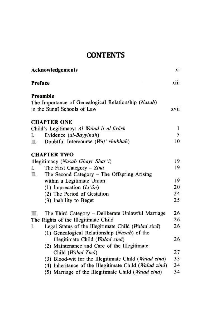### **CONTENTS**

| <b>Acknowledgements</b>                                   | xi   |
|-----------------------------------------------------------|------|
| Preface                                                   | xiii |
| Preamble                                                  |      |
| The Importance of Genealogical Relationship (Nasab)       |      |
| in the Sunni Schools of Law                               | xvii |
| <b>CHAPTER ONE</b>                                        |      |
| Child's Legitimacy: Al-Walad li al-firāsh                 | 1    |
| Evidence (al-Bayyinah)<br>L.                              | 5    |
| Doubtful Intercourse (Wat' shubhah)<br>Н.                 | 10   |
| <b>CHAPTER TWO</b>                                        |      |
| Illegitimacy (Nasab Ghayr Shar'i)                         | 19   |
| The First Category - Zinā<br>L                            | 19   |
| The Second Category - The Offspring Arising<br>П.         |      |
| within a Legitimate Union:                                | 19   |
| (1) Imprecation $(Li'an)$                                 | 20   |
| (2) The Period of Gestation                               | 24   |
| (3) Inability to Beget                                    | 25   |
| The Third Category - Deliberate Unlawful Marriage<br>III. | 26   |
| The Rights of the Illegitimate Child                      | 26   |
| Legal Status of the Illegitimate Child (Walad zinā)<br>L. | 26   |
| (1) Genealogical Relationship (Nasab) of the              |      |
| Illegitimate Child (Walad zinā)                           | 26   |
| (2) Maintenance and Care of the Illegitimate              |      |
| Child (Walad Zinā)                                        | 27   |
| (3) Blood-wit for the Illegitimate Child (Walad zinā)     | 33   |
| (4) Inheritance of the Illegitimate Child (Walad zinā)    | 34   |
| (5) Marriage of the Illegitimate Child (Walad zinā)       | 34   |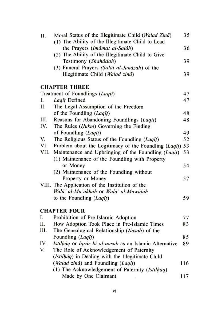| Н.   | Moral Status of the Illegitimate Child (Walad Zinā)      | 35  |
|------|----------------------------------------------------------|-----|
|      | (1) The Ability of the Illegitimate Child to Lead        |     |
|      | the Prayers (Imāmat al-Salāh)                            | 36  |
|      | (2) The Ability of the Illegitimate Child to Give        |     |
|      | Testimony (Shahādah)                                     | 39  |
|      | (3) Funeral Prayers (Salāt al-Janāzah) of the            |     |
|      | Illegitimate Child (Walad zinā)                          | 39  |
|      | <b>CHAPTER THREE</b>                                     |     |
|      | Treatment of Foundlings (Laqit)                          | 47  |
| I.   | Laqit Defined                                            | 47  |
| Н.   | The Legal Assumption of the Freedom                      |     |
|      | of the Foundling (Laqit)                                 | 48  |
| III. | Reasons for Abandoning Foundlings (Laqit)                | 48  |
| IV.  | The Rules ( <i>Hukm</i> ) Governing the Finding          |     |
|      | of Foundling (Laqit)                                     | 49  |
| V.   | The Religious Status of the Foundling (Laqit)            | 52  |
| VI.  | Problem about the Legitimacy of the Foundling (Laqit)    | 53  |
|      | VII. Maintenance and Upbringing of the Foundling (Laqit) | 53  |
|      | (1) Maintenance of the Foundling with Property           |     |
|      | or Money                                                 | 54  |
|      | (2) Maintenance of the Foundling without                 |     |
|      | Property or Money                                        | 57  |
|      | VIII. The Application of the Institution of the          |     |
|      | Walā' al-Mu'ākhāh or Walā' al-Muwālāh                    |     |
|      | to the Foundling (Laqit)                                 | 59  |
|      | <b>CHAPTER FOUR</b>                                      |     |
| I.   | Prohibition of Pre-Islamic Adoption                      | 77  |
| П.   | How Adoption Took Place in Pre-Islamic Times             | 83  |
| III. | The Genealogical Relationship (Nasab) of the             |     |
|      | Foundling (Laqit)                                        | 85  |
| IV.  | Istilhãq or Iqrãr bi al-nasab as an Islamic Alternative  | 89  |
| V.   | The Role of Acknowledgement of Paternity                 |     |
|      | (Istilhäq) in Dealing with the Illegitimate Child        |     |
|      | (Walad zinā) and Foundling (Laqīt)                       | 116 |
|      | (1) The Acknowledgement of Paternity (Istilhaq)          |     |
|      | Made by One Claimant                                     |     |
|      |                                                          | 117 |